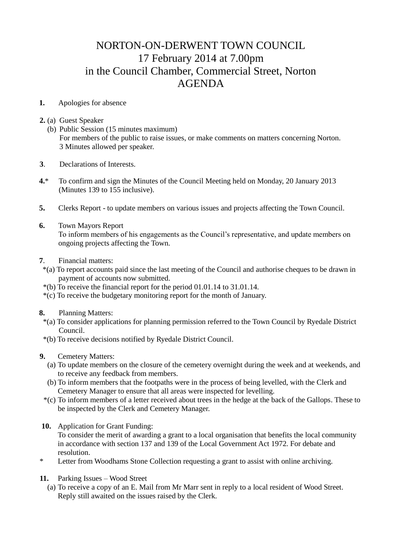## NORTON-ON-DERWENT TOWN COUNCIL 17 February 2014 at 7.00pm in the Council Chamber, Commercial Street, Norton AGENDA

## **1.** Apologies for absence

- **2.** (a) Guest Speaker
	- (b) Public Session (15 minutes maximum) For members of the public to raise issues, or make comments on matters concerning Norton. 3 Minutes allowed per speaker.
- **3**. Declarations of Interests.
- **4.**\* To confirm and sign the Minutes of the Council Meeting held on Monday, 20 January 2013 (Minutes 139 to 155 inclusive).
- **5.** Clerks Report to update members on various issues and projects affecting the Town Council.
- **6.** Town Mayors Report To inform members of his engagements as the Council's representative, and update members on ongoing projects affecting the Town.
- **7**. Financial matters:
- \*(a) To report accounts paid since the last meeting of the Council and authorise cheques to be drawn in payment of accounts now submitted.
- \*(b) To receive the financial report for the period 01.01.14 to 31.01.14.
- \*(c) To receive the budgetary monitoring report for the month of January.
- **8.** Planning Matters:
	- \*(a) To consider applications for planning permission referred to the Town Council by Ryedale District Council.
	- \*(b) To receive decisions notified by Ryedale District Council.
- **9.** Cemetery Matters:
	- (a) To update members on the closure of the cemetery overnight during the week and at weekends, and to receive any feedback from members.
	- (b) To inform members that the footpaths were in the process of being levelled, with the Clerk and Cemetery Manager to ensure that all areas were inspected for levelling.
	- \*(c) To inform members of a letter received about trees in the hedge at the back of the Gallops. These to be inspected by the Clerk and Cemetery Manager.
- **10.** Application for Grant Funding: To consider the merit of awarding a grant to a local organisation that benefits the local community in accordance with section 137 and 139 of the Local Government Act 1972. For debate and resolution.
- \* Letter from Woodhams Stone Collection requesting a grant to assist with online archiving.
- **11.** Parking Issues Wood Street
	- (a) To receive a copy of an E. Mail from Mr Marr sent in reply to a local resident of Wood Street. Reply still awaited on the issues raised by the Clerk.